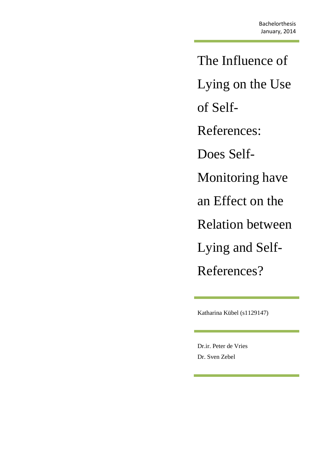The Influence of Lying on the Use of Self-References: Does Self-Monitoring have an Effect on the Relation between Lying and Self-References?

Katharina Kübel (s1129147)

Dr.ir. Peter de Vries Dr. Sven Zebel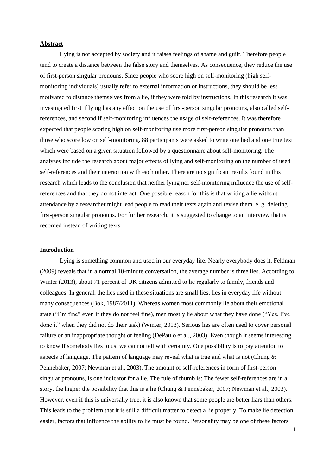## **Abstract**

Lying is not accepted by society and it raises feelings of shame and guilt. Therefore people tend to create a distance between the false story and themselves. As consequence, they reduce the use of first-person singular pronouns. Since people who score high on self-monitoring (high selfmonitoring individuals) usually refer to external information or instructions, they should be less motivated to distance themselves from a lie, if they were told by instructions. In this research it was investigated first if lying has any effect on the use of first-person singular pronouns, also called selfreferences, and second if self-monitoring influences the usage of self-references. It was therefore expected that people scoring high on self-monitoring use more first-person singular pronouns than those who score low on self-monitoring. 88 participants were asked to write one lied and one true text which were based on a given situation followed by a questionnaire about self-monitoring. The analyses include the research about major effects of lying and self-monitoring on the number of used self-references and their interaction with each other. There are no significant results found in this research which leads to the conclusion that neither lying nor self-monitoring influence the use of selfreferences and that they do not interact. One possible reason for this is that writing a lie without attendance by a researcher might lead people to read their texts again and revise them, e. g. deleting first-person singular pronouns. For further research, it is suggested to change to an interview that is recorded instead of writing texts.

### **Introduction**

Lying is something common and used in our everyday life. Nearly everybody does it. Feldman (2009) reveals that in a normal 10-minute conversation, the average number is three lies. According to Winter (2013), about 71 percent of UK citizens admitted to lie regularly to family, friends and colleagues. In general, the lies used in these situations are small lies, lies in everyday life without many consequences (Bok, 1987/2011). Whereas women most commonly lie about their emotional state ("I´m fine" even if they do not feel fine), men mostly lie about what they have done ("Yes, I've done it" when they did not do their task) (Winter, 2013). Serious lies are often used to cover personal failure or an inappropriate thought or feeling (DePaulo et al., 2003). Even though it seems interesting to know if somebody lies to us, we cannot tell with certainty. One possibility is to pay attention to aspects of language. The pattern of language may reveal what is true and what is not (Chung  $\&$ Pennebaker, 2007; Newman et al., 2003). The amount of self-references in form of first-person singular pronouns, is one indicator for a lie. The rule of thumb is: The fewer self-references are in a story, the higher the possibility that this is a lie (Chung & Pennebaker, 2007; Newman et al., 2003). However, even if this is universally true, it is also known that some people are better liars than others. This leads to the problem that it is still a difficult matter to detect a lie properly. To make lie detection easier, factors that influence the ability to lie must be found. Personality may be one of these factors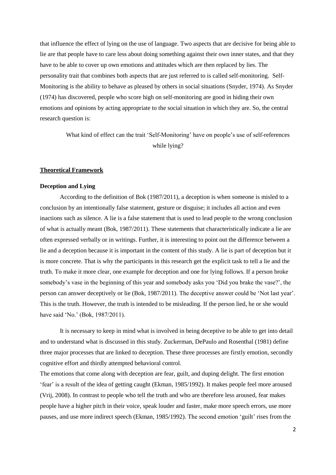that influence the effect of lying on the use of language. Two aspects that are decisive for being able to lie are that people have to care less about doing something against their own inner states, and that they have to be able to cover up own emotions and attitudes which are then replaced by lies. The personality trait that combines both aspects that are just referred to is called self-monitoring. Self-Monitoring is the ability to behave as pleased by others in social situations (Snyder, 1974). As Snyder (1974) has discovered, people who score high on self-monitoring are good in hiding their own emotions and opinions by acting appropriate to the social situation in which they are. So, the central research question is:

> What kind of effect can the trait 'Self-Monitoring' have on people's use of self-references while lying?

## **Theoretical Framework**

### **Deception and Lying**

According to the definition of Bok (1987/2011), a deception is when someone is misled to a conclusion by an intentionally false statement, gesture or disguise; it includes all action and even inactions such as silence. A lie is a false statement that is used to lead people to the wrong conclusion of what is actually meant (Bok, 1987/2011). These statements that characteristically indicate a lie are often expressed verbally or in writings. Further, it is interesting to point out the difference between a lie and a deception because it is important in the content of this study. A lie is part of deception but it is more concrete. That is why the participants in this research get the explicit task to tell a lie and the truth. To make it more clear, one example for deception and one for lying follows. If a person broke somebody's vase in the beginning of this year and somebody asks you 'Did you brake the vase?', the person can answer deceptively or lie (Bok, 1987/2011). The deceptive answer could be 'Not last year'. This is the truth. However, the truth is intended to be misleading. If the person lied, he or she would have said 'No.' (Bok, 1987/2011).

It is necessary to keep in mind what is involved in being deceptive to be able to get into detail and to understand what is discussed in this study. Zuckerman, DePaulo and Rosenthal (1981) define three major processes that are linked to deception. These three processes are firstly emotion, secondly cognitive effort and thirdly attempted behavioral control.

The emotions that come along with deception are fear, guilt, and duping delight. The first emotion 'fear' is a result of the idea of getting caught (Ekman, 1985/1992). It makes people feel more aroused (Vrij, 2008). In contrast to people who tell the truth and who are therefore less aroused, fear makes people have a higher pitch in their voice, speak louder and faster, make more speech errors, use more pauses, and use more indirect speech (Ekman, 1985/1992). The second emotion 'guilt' rises from the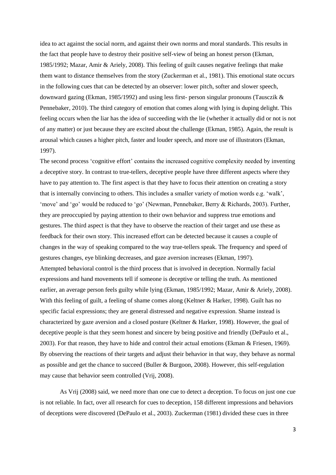idea to act against the social norm, and against their own norms and moral standards. This results in the fact that people have to destroy their positive self-view of being an honest person (Ekman, 1985/1992; Mazar, Amir & Ariely, 2008). This feeling of guilt causes negative feelings that make them want to distance themselves from the story (Zuckerman et al., 1981). This emotional state occurs in the following cues that can be detected by an observer: lower pitch, softer and slower speech, downward gazing (Ekman, 1985/1992) and using less first- person singular pronouns (Tausczik & Pennebaker, 2010). The third category of emotion that comes along with lying is duping delight. This feeling occurs when the liar has the idea of succeeding with the lie (whether it actually did or not is not of any matter) or just because they are excited about the challenge (Ekman, 1985). Again, the result is arousal which causes a higher pitch, faster and louder speech, and more use of illustrators (Ekman, 1997).

The second process 'cognitive effort' contains the increased cognitive complexity needed by inventing a deceptive story. In contrast to true-tellers, deceptive people have three different aspects where they have to pay attention to. The first aspect is that they have to focus their attention on creating a story that is internally convincing to others. This includes a smaller variety of motion words e.g. 'walk', 'move' and 'go' would be reduced to 'go' (Newman, Pennebaker, Berry & Richards, 2003). Further, they are preoccupied by paying attention to their own behavior and suppress true emotions and gestures. The third aspect is that they have to observe the reaction of their target and use these as feedback for their own story. This increased effort can be detected because it causes a couple of changes in the way of speaking compared to the way true-tellers speak. The frequency and speed of gestures changes, eye blinking decreases, and gaze aversion increases (Ekman, 1997). Attempted behavioral control is the third process that is involved in deception. Normally facial expressions and hand movements tell if someone is deceptive or telling the truth. As mentioned earlier, an average person feels guilty while lying (Ekman, 1985/1992; Mazar, Amir & Ariely, 2008). With this feeling of guilt, a feeling of shame comes along (Keltner & Harker, 1998). Guilt has no specific facial expressions; they are general distressed and negative expression. Shame instead is characterized by gaze aversion and a closed posture (Keltner & Harker, 1998). However, the goal of deceptive people is that they seem honest and sincere by being positive and friendly (DePaulo et al., 2003). For that reason, they have to hide and control their actual emotions (Ekman & Friesen, 1969). By observing the reactions of their targets and adjust their behavior in that way, they behave as normal as possible and get the chance to succeed (Buller & Burgoon, 2008). However, this self-regulation may cause that behavior seem controlled (Vrij, 2008).

As Vrij (2008) said, we need more than one cue to detect a deception. To focus on just one cue is not reliable. In fact, over all research for cues to deception, 158 different impressions and behaviors of deceptions were discovered (DePaulo et al., 2003). Zuckerman (1981) divided these cues in three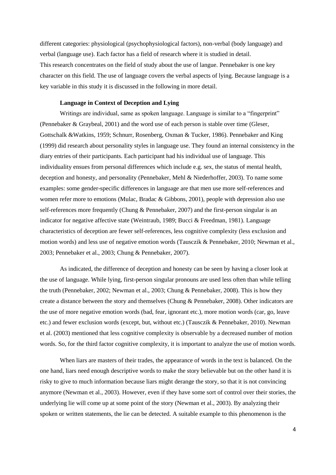different categories: physiological (psychophysiological factors), non-verbal (body language) and verbal (language use). Each factor has a field of research where it is studied in detail. This research concentrates on the field of study about the use of langue. Pennebaker is one key character on this field. The use of language covers the verbal aspects of lying. Because language is a key variable in this study it is discussed in the following in more detail.

## **Language in Context of Deception and Lying**

Writings are individual, same as spoken language. Language is similar to a "fingerprint" (Pennebaker & Graybeal, 2001) and the word use of each person is stable over time (Gleser, Gottschalk &Watkins, 1959; Schnurr, Rosenberg, Oxman & Tucker, 1986). Pennebaker and King (1999) did research about personality styles in language use. They found an internal consistency in the diary entries of their participants. Each participant had his individual use of language. This individuality ensues from personal differences which include e.g. sex, the status of mental health, deception and honesty, and personality (Pennebaker, Mehl & Niederhoffer, 2003). To name some examples: some gender-specific differences in language are that men use more self-references and women refer more to emotions (Mulac, Bradac & Gibbons, 2001), people with depression also use self-references more frequently (Chung & Pennebaker, 2007) and the first-person singular is an indicator for negative affective state (Weintraub, 1989; Bucci & Freedman, 1981). Language characteristics of deception are fewer self-references, less cognitive complexity (less exclusion and motion words) and less use of negative emotion words (Tausczik & Pennebaker, 2010; Newman et al., 2003; Pennebaker et al., 2003; Chung & Pennebaker, 2007).

As indicated, the difference of deception and honesty can be seen by having a closer look at the use of language. While lying, first-person singular pronouns are used less often than while telling the truth (Pennebaker, 2002; Newman et al., 2003; Chung & Pennebaker, 2008). This is how they create a distance between the story and themselves (Chung & Pennebaker, 2008). Other indicators are the use of more negative emotion words (bad, fear, ignorant etc.), more motion words (car, go, leave etc.) and fewer exclusion words (except, but, without etc.) (Tausczik & Pennebaker, 2010). Newman et al. (2003) mentioned that less cognitive complexity is observable by a decreased number of motion words. So, for the third factor cognitive complexity, it is important to analyze the use of motion words.

When liars are masters of their trades, the appearance of words in the text is balanced. On the one hand, liars need enough descriptive words to make the story believable but on the other hand it is risky to give to much information because liars might derange the story, so that it is not convincing anymore (Newman et al., 2003). However, even if they have some sort of control over their stories, the underlying lie will come up at some point of the story (Newman et al., 2003). By analyzing their spoken or written statements, the lie can be detected. A suitable example to this phenomenon is the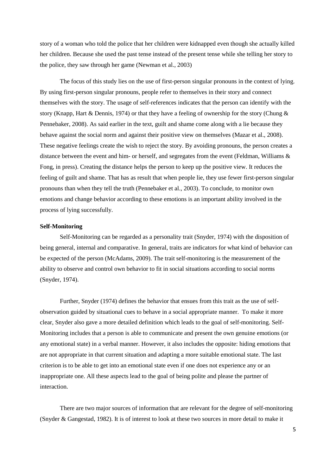story of a woman who told the police that her children were kidnapped even though she actually killed her children. Because she used the past tense instead of the present tense while she telling her story to the police, they saw through her game (Newman et al., 2003)

The focus of this study lies on the use of first-person singular pronouns in the context of lying. By using first-person singular pronouns, people refer to themselves in their story and connect themselves with the story. The usage of self-references indicates that the person can identify with the story (Knapp, Hart & Dennis, 1974) or that they have a feeling of ownership for the story (Chung  $\&$ Pennebaker, 2008). As said earlier in the text, guilt and shame come along with a lie because they behave against the social norm and against their positive view on themselves (Mazar et al., 2008). These negative feelings create the wish to reject the story. By avoiding pronouns, the person creates a distance between the event and him- or herself, and segregates from the event (Feldman, Williams  $\&$ Fong, in press). Creating the distance helps the person to keep up the positive view. It reduces the feeling of guilt and shame. That has as result that when people lie, they use fewer first-person singular pronouns than when they tell the truth (Pennebaker et al., 2003). To conclude, to monitor own emotions and change behavior according to these emotions is an important ability involved in the process of lying successfully.

#### **Self-Monitoring**

Self-Monitoring can be regarded as a personality trait (Snyder, 1974) with the disposition of being general, internal and comparative. In general, traits are indicators for what kind of behavior can be expected of the person (McAdams, 2009). The trait self-monitoring is the measurement of the ability to observe and control own behavior to fit in social situations according to social norms (Snyder, 1974).

Further, Snyder (1974) defines the behavior that ensues from this trait as the use of selfobservation guided by situational cues to behave in a social appropriate manner. To make it more clear, Snyder also gave a more detailed definition which leads to the goal of self-monitoring. Self-Monitoring includes that a person is able to communicate and present the own genuine emotions (or any emotional state) in a verbal manner. However, it also includes the opposite: hiding emotions that are not appropriate in that current situation and adapting a more suitable emotional state. The last criterion is to be able to get into an emotional state even if one does not experience any or an inappropriate one. All these aspects lead to the goal of being polite and please the partner of interaction.

There are two major sources of information that are relevant for the degree of self-monitoring (Snyder & Gangestad, 1982). It is of interest to look at these two sources in more detail to make it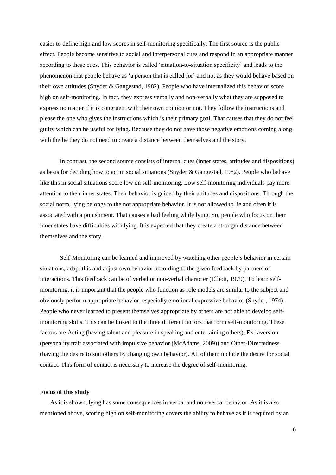easier to define high and low scores in self-monitoring specifically. The first source is the public effect. People become sensitive to social and interpersonal cues and respond in an appropriate manner according to these cues. This behavior is called 'situation-to-situation specificity' and leads to the phenomenon that people behave as 'a person that is called for' and not as they would behave based on their own attitudes (Snyder & Gangestad, 1982). People who have internalized this behavior score high on self-monitoring. In fact, they express verbally and non-verbally what they are supposed to express no matter if it is congruent with their own opinion or not. They follow the instructions and please the one who gives the instructions which is their primary goal. That causes that they do not feel guilty which can be useful for lying. Because they do not have those negative emotions coming along with the lie they do not need to create a distance between themselves and the story.

In contrast, the second source consists of internal cues (inner states, attitudes and dispositions) as basis for deciding how to act in social situations (Snyder & Gangestad, 1982). People who behave like this in social situations score low on self-monitoring. Low self-monitoring individuals pay more attention to their inner states. Their behavior is guided by their attitudes and dispositions. Through the social norm, lying belongs to the not appropriate behavior. It is not allowed to lie and often it is associated with a punishment. That causes a bad feeling while lying. So, people who focus on their inner states have difficulties with lying. It is expected that they create a stronger distance between themselves and the story.

Self-Monitoring can be learned and improved by watching other people's behavior in certain situations, adapt this and adjust own behavior according to the given feedback by partners of interactions. This feedback can be of verbal or non-verbal character (Elliott, 1979). To learn selfmonitoring, it is important that the people who function as role models are similar to the subject and obviously perform appropriate behavior, especially emotional expressive behavior (Snyder, 1974). People who never learned to present themselves appropriate by others are not able to develop selfmonitoring skills. This can be linked to the three different factors that form self-monitoring. These factors are Acting (having talent and pleasure in speaking and entertaining others), Extraversion (personality trait associated with impulsive behavior (McAdams, 2009)) and Other-Directedness (having the desire to suit others by changing own behavior). All of them include the desire for social contact. This form of contact is necessary to increase the degree of self-monitoring.

#### **Focus of this study**

As it is shown, lying has some consequences in verbal and non-verbal behavior. As it is also mentioned above, scoring high on self-monitoring covers the ability to behave as it is required by an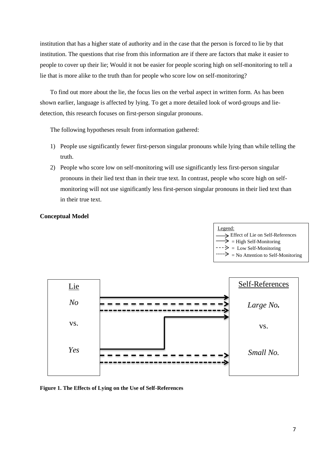institution that has a higher state of authority and in the case that the person is forced to lie by that institution. The questions that rise from this information are if there are factors that make it easier to people to cover up their lie; Would it not be easier for people scoring high on self-monitoring to tell a lie that is more alike to the truth than for people who score low on self-monitoring?

To find out more about the lie, the focus lies on the verbal aspect in written form. As has been shown earlier, language is affected by lying. To get a more detailed look of word-groups and liedetection, this research focuses on first-person singular pronouns.

The following hypotheses result from information gathered:

- 1) People use significantly fewer first-person singular pronouns while lying than while telling the truth.
- 2) People who score low on self-monitoring will use significantly less first-person singular pronouns in their lied text than in their true text. In contrast, people who score high on selfmonitoring will not use significantly less first-person singular pronouns in their lied text than in their true text.

# **Conceptual Model**



**Figure 1. The Effects of Lying on the Use of Self-References**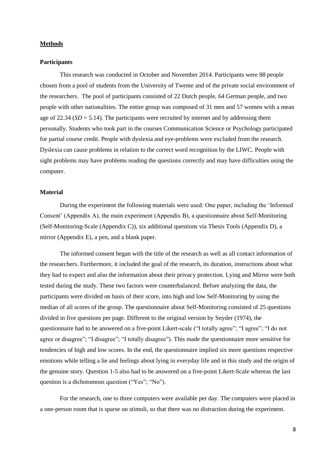### **Methods**

#### **Participants**

This research was conducted in October and November 2014. Participants were 88 people chosen from a pool of students from the University of Twente and of the private social environment of the researchers. The pool of participants consisted of 22 Dutch people, 64 German people, and two people with other nationalities. The entire group was composed of 31 men and 57 women with a mean age of 22.34 (*SD* = 5.14). The participants were recruited by internet and by addressing them personally. Students who took part in the courses Communication Science or Psychology participated for partial course credit. People with dyslexia and eye-problems were excluded from the research. Dyslexia can cause problems in relation to the correct word recognition by the LIWC. People with sight problems may have problems reading the questions correctly and may have difficulties using the computer.

## **Material**

During the experiment the following materials were used: One paper, including the 'Informed Consent' (Appendix A), the main experiment (Appendix B), a questionnaire about Self-Monitoring (Self-Monitoring-Scale (Appendix C)), six additional questions via Thesis Tools (Appendix D), a mirror (Appendix E), a pen, and a blank paper.

The informed consent began with the title of the research as well as all contact information of the researchers. Furthermore, it included the goal of the research, its duration, instructions about what they had to expect and also the information about their privacy protection. Lying and Mirror were both tested during the study. These two factors were counterbalanced. Before analyzing the data, the participants were divided on basis of their score, into high and low Self-Monitoring by using the median of all scores of the group. The questionnaire about Self-Monitoring consisted of 25 questions divided in five questions per page. Different to the original version by Snyder (1974), the questionnaire had to be answered on a five-point Likert-scale ("I totally agree"; "I agree"; "I do not agree or disagree"; "I disagree"; "I totally disagree"). This made the questionnaire more sensitive for tendencies of high and low scores. In the end, the questionnaire implied six more questions respective emotions while telling a lie and feelings about lying in everyday life and in this study and the origin of the genuine story. Question 1-5 also had to be answered on a five-point Likert-Scale whereas the last question is a dichotomous question ("Yes"; "No").

For the research, one to three computers were available per day. The computers were placed in a one-person room that is sparse on stimuli, so that there was no distraction during the experiment.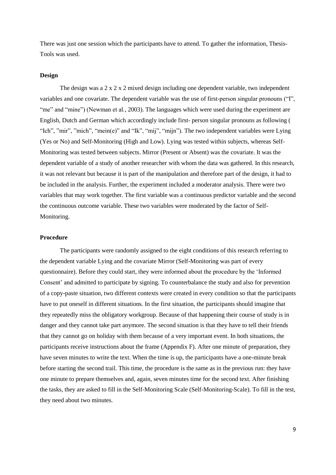There was just one session which the participants have to attend. To gather the information, Thesis-Tools was used.

### **Design**

The design was a  $2 \times 2 \times 2$  mixed design including one dependent variable, two independent variables and one covariate. The dependent variable was the use of first-person singular pronouns ("I", "me" and "mine") (Newman et al., 2003). The languages which were used during the experiment are English, Dutch and German which accordingly include first- person singular pronouns as following ( "Ich", "mir", "mich", "mein(e)" and "Ik", "mij", "mijn"). The two independent variables were Lying (Yes or No) and Self-Monitoring (High and Low). Lying was tested within subjects, whereas Self-Monitoring was tested between subjects. Mirror (Present or Absent) was the covariate. It was the dependent variable of a study of another researcher with whom the data was gathered. In this research, it was not relevant but because it is part of the manipulation and therefore part of the design, it had to be included in the analysis. Further, the experiment included a moderator analysis. There were two variables that may work together. The first variable was a continuous predictor variable and the second the continuous outcome variable. These two variables were moderated by the factor of Self-Monitoring.

### **Procedure**

The participants were randomly assigned to the eight conditions of this research referring to the dependent variable Lying and the covariate Mirror (Self-Monitoring was part of every questionnaire). Before they could start, they were informed about the procedure by the 'Informed Consent' and admitted to participate by signing. To counterbalance the study and also for prevention of a copy-paste situation, two different contexts were created in every condition so that the participants have to put oneself in different situations. In the first situation, the participants should imagine that they repeatedly miss the obligatory workgroup. Because of that happening their course of study is in danger and they cannot take part anymore. The second situation is that they have to tell their friends that they cannot go on holiday with them because of a very important event. In both situations, the participants receive instructions about the frame (Appendix F). After one minute of preparation, they have seven minutes to write the text. When the time is up, the participants have a one-minute break before starting the second trail. This time, the procedure is the same as in the previous run: they have one minute to prepare themselves and, again, seven minutes time for the second text. After finishing the tasks, they are asked to fill in the Self-Monitoring Scale (Self-Monitoring-Scale). To fill in the test, they need about two minutes.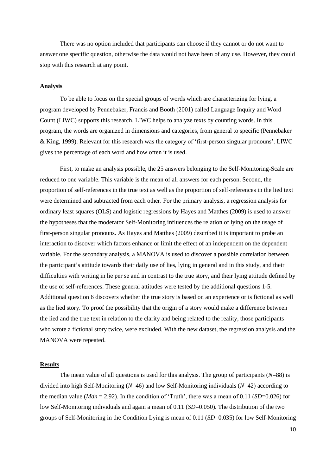There was no option included that participants can choose if they cannot or do not want to answer one specific question, otherwise the data would not have been of any use. However, they could stop with this research at any point.

### **Analysis**

To be able to focus on the special groups of words which are characterizing for lying, a program developed by Pennebaker, Francis and Booth (2001) called Language Inquiry and Word Count (LIWC) supports this research. LIWC helps to analyze texts by counting words. In this program, the words are organized in dimensions and categories, from general to specific (Pennebaker & King, 1999). Relevant for this research was the category of 'first-person singular pronouns'. LIWC gives the percentage of each word and how often it is used.

First, to make an analysis possible, the 25 answers belonging to the Self-Monitoring-Scale are reduced to one variable. This variable is the mean of all answers for each person. Second, the proportion of self-references in the true text as well as the proportion of self-references in the lied text were determined and subtracted from each other. For the primary analysis, a regression analysis for ordinary least squares (OLS) and logistic regressions by Hayes and Matthes (2009) is used to answer the hypotheses that the moderator Self-Monitoring influences the relation of lying on the usage of first-person singular pronouns. As Hayes and Matthes (2009) described it is important to probe an interaction to discover which factors enhance or limit the effect of an independent on the dependent variable. For the secondary analysis, a MANOVA is used to discover a possible correlation between the participant's attitude towards their daily use of lies, lying in general and in this study, and their difficulties with writing in lie per se and in contrast to the true story, and their lying attitude defined by the use of self-references. These general attitudes were tested by the additional questions 1-5. Additional question 6 discovers whether the true story is based on an experience or is fictional as well as the lied story. To proof the possibility that the origin of a story would make a difference between the lied and the true text in relation to the clarity and being related to the reality, those participants who wrote a fictional story twice, were excluded. With the new dataset, the regression analysis and the MANOVA were repeated.

### **Results**

The mean value of all questions is used for this analysis. The group of participants (*N*=88) is divided into high Self-Monitoring (*N*=46) and low Self-Monitoring individuals (*N*=42) according to the median value ( $Mdn = 2.92$ ). In the condition of 'Truth', there was a mean of 0.11 ( $SD=0.026$ ) for low Self-Monitoring individuals and again a mean of 0.11 (*SD*=0.050). The distribution of the two groups of Self-Monitoring in the Condition Lying is mean of 0.11 (*SD*=0.035) for low Self-Monitoring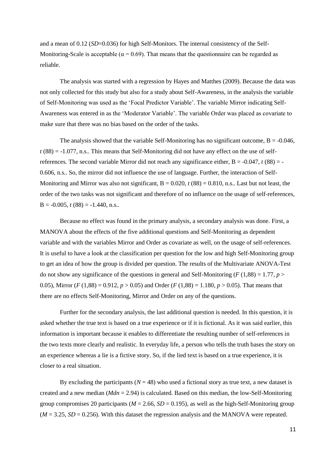and a mean of 0.12 (*SD*=0.036) for high Self-Monitors. The internal consistency of the Self-Monitoring-Scale is acceptable ( $\alpha = 0.69$ ). That means that the questionnaire can be regarded as reliable.

The analysis was started with a regression by Hayes and Matthes (2009). Because the data was not only collected for this study but also for a study about Self-Awareness, in the analysis the variable of Self-Monitoring was used as the 'Focal Predictor Variable'. The variable Mirror indicating Self-Awareness was entered in as the 'Moderator Variable'. The variable Order was placed as covariate to make sure that there was no bias based on the order of the tasks.

The analysis showed that the variable Self-Monitoring has no significant outcome,  $B = -0.046$ ,  $t(88) = -1.077$ , n.s.. This means that Self-Monitoring did not have any effect on the use of selfreferences. The second variable Mirror did not reach any significance either,  $B = -0.047$ ,  $t(88) = -0.047$ 0.606, n.s.. So, the mirror did not influence the use of language. Further, the interaction of Self-Monitoring and Mirror was also not significant,  $B = 0.020$ ,  $t(88) = 0.810$ , n.s.. Last but not least, the order of the two tasks was not significant and therefore of no influence on the usage of self-references,  $B = -0.005$ ,  $t(88) = -1.440$ , n.s..

Because no effect was found in the primary analysis, a secondary analysis was done. First, a MANOVA about the effects of the five additional questions and Self-Monitoring as dependent variable and with the variables Mirror and Order as covariate as well, on the usage of self-references. It is useful to have a look at the classification per question for the low and high Self-Monitoring group to get an idea of how the group is divided per question. The results of the Multivariate ANOVA-Test do not show any significance of the questions in general and Self-Monitoring ( $F(1,88) = 1.77$ ,  $p >$ 0.05), Mirror (*F* (1,88) = 0.912,  $p > 0.05$ ) and Order (*F* (1,88) = 1.180,  $p > 0.05$ ). That means that there are no effects Self-Monitoring, Mirror and Order on any of the questions.

Further for the secondary analysis, the last additional question is needed. In this question, it is asked whether the true text is based on a true experience or if it is fictional. As it was said earlier, this information is important because it enables to differentiate the resulting number of self-references in the two texts more clearly and realistic. In everyday life, a person who tells the truth bases the story on an experience whereas a lie is a fictive story. So, if the lied text is based on a true experience, it is closer to a real situation.

By excluding the participants  $(N = 48)$  who used a fictional story as true text, a new dataset is created and a new median (*Mdn* = 2.94) is calculated. Based on this median, the low-Self-Monitoring group compromises 20 participants ( $M = 2.66$ ,  $SD = 0.195$ ), as well as the high-Self-Monitoring group  $(M = 3.25, SD = 0.256)$ . With this dataset the regression analysis and the MANOVA were repeated.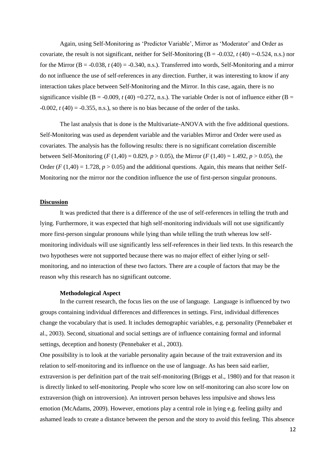Again, using Self-Monitoring as 'Predictor Variable', Mirror as 'Moderator' and Order as covariate, the result is not significant, neither for Self-Monitoring  $(B = -0.032, t(40) = -0.524, n.s.)$  nor for the Mirror  $(B = -0.038, t(40) = -0.340, n.s.).$  Transferred into words, Self-Monitoring and a mirror do not influence the use of self-references in any direction. Further, it was interesting to know if any interaction takes place between Self-Monitoring and the Mirror. In this case, again, there is no significance visible ( $B = -0.009$ ,  $t(40) = 0.272$ , n.s.). The variable Order is not of influence either ( $B =$  $-0.002$ ,  $t(40) = -0.355$ , n.s.), so there is no bias because of the order of the tasks.

The last analysis that is done is the Multivariate-ANOVA with the five additional questions. Self-Monitoring was used as dependent variable and the variables Mirror and Order were used as covariates. The analysis has the following results: there is no significant correlation discernible between Self-Monitoring (*F* (1,40) = 0.829,  $p > 0.05$ ), the Mirror (*F* (1,40) = 1.492,  $p > 0.05$ ), the Order ( $F(1,40) = 1.728$ ,  $p > 0.05$ ) and the additional questions. Again, this means that neither Self-Monitoring nor the mirror nor the condition influence the use of first-person singular pronouns.

### **Discussion**

It was predicted that there is a difference of the use of self-references in telling the truth and lying. Furthermore, it was expected that high self-monitoring individuals will not use significantly more first-person singular pronouns while lying than while telling the truth whereas low selfmonitoring individuals will use significantly less self-references in their lied texts. In this research the two hypotheses were not supported because there was no major effect of either lying or selfmonitoring, and no interaction of these two factors. There are a couple of factors that may be the reason why this research has no significant outcome.

### **Methodological Aspect**

In the current research, the focus lies on the use of language. Language is influenced by two groups containing individual differences and differences in settings. First, individual differences change the vocabulary that is used. It includes demographic variables, e.g. personality (Pennebaker et al., 2003). Second, situational and social settings are of influence containing formal and informal settings, deception and honesty (Pennebaker et al., 2003).

One possibility is to look at the variable personality again because of the trait extraversion and its relation to self-monitoring and its influence on the use of language. As has been said earlier, extraversion is per definition part of the trait self-monitoring (Briggs et al., 1980) and for that reason it is directly linked to self-monitoring. People who score low on self-monitoring can also score low on extraversion (high on introversion). An introvert person behaves less impulsive and shows less emotion (McAdams, 2009). However, emotions play a central role in lying e.g. feeling guilty and ashamed leads to create a distance between the person and the story to avoid this feeling. This absence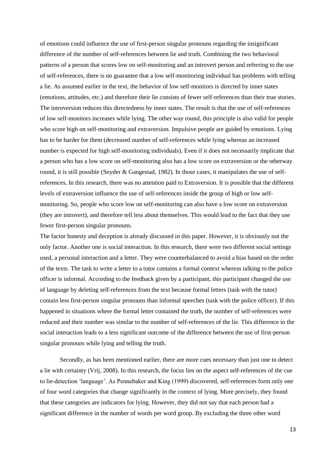of emotions could influence the use of first-person singular pronouns regarding the insignificant difference of the number of self-references between lie and truth. Combining the two behavioral patterns of a person that scores low on self-monitoring and an introvert person and referring to the use of self-references, there is no guarantee that a low self-monitoring individual has problems with telling a lie. As assumed earlier in the text, the behavior of low self-monitors is directed by inner states (emotions, attitudes, etc.) and therefore their lie consists of fewer self-references than their true stories. The introversion reduces this directedness by inner states. The result is that the use of self-references of low self-monitors increases while lying. The other way round, this principle is also valid for people who score high on self-monitoring and extraversion. Impulsive people are guided by emotions. Lying has to be harder for them (decreased number of self-references while lying whereas an increased number is expected for high self-monitoring individuals). Even if it does not necessarily implicate that a person who has a low score on self-monitoring also has a low score on extraversion or the otherway round, it is still possible (Snyder & Gangestad, 1982). In those cases, it manipulates the use of selfreferences. In this research, there was no attention paid to Extraversion. It is possible that the different levels of extraversion influence the use of self-references inside the group of high or low selfmonitoring. So, people who score low on self-monitoring can also have a low score on extraversion (they are introvert), and therefore tell less about themselves. This would lead to the fact that they use fewer first-person singular pronouns.

The factor honesty and deception is already discussed in this paper. However, it is obviously not the only factor. Another one is social interaction. In this research, there were two different social settings used, a personal interaction and a letter. They were counterbalanced to avoid a bias based on the order of the texts. The task to write a letter to a tutor contains a formal context whereas talking to the police officer is informal. According to the feedback given by a participant, this participant changed the use of language by deleting self-references from the text because formal letters (task with the tutor) contain less first-person singular pronouns than informal speeches (task with the police officer). If this happened in situations where the formal letter contained the truth, the number of self-references were reduced and their number was similar to the number of self-references of the lie. This difference in the social interaction leads to a less significant outcome of the difference between the use of first-person singular pronouns while lying and telling the truth.

Secondly, as has been mentioned earlier, there are more cues necessary than just one to detect a lie with certainty (Vrij, 2008). In this research, the focus lies on the aspect self-references of the cue to lie-detection 'language'. As Pennebaker and King (1999) discovered, self-references form only one of four word categories that change significantly in the context of lying. More precisely, they found that these categories are indicators for lying. However, they did not say that each person had a significant difference in the number of words per word group. By excluding the three other word

13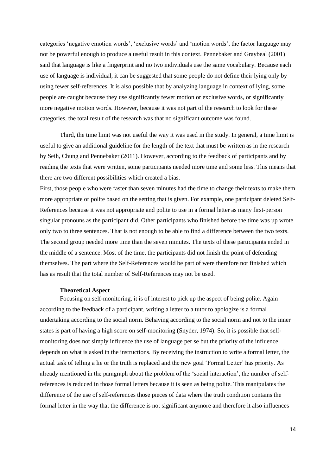categories 'negative emotion words', 'exclusive words' and 'motion words', the factor language may not be powerful enough to produce a useful result in this context. Pennebaker and Graybeal (2001) said that language is like a fingerprint and no two individuals use the same vocabulary. Because each use of language is individual, it can be suggested that some people do not define their lying only by using fewer self-references. It is also possible that by analyzing language in context of lying, some people are caught because they use significantly fewer motion or exclusive words, or significantly more negative motion words. However, because it was not part of the research to look for these categories, the total result of the research was that no significant outcome was found.

Third, the time limit was not useful the way it was used in the study. In general, a time limit is useful to give an additional guideline for the length of the text that must be written as in the research by Seih, Chung and Pennebaker (2011). However, according to the feedback of participants and by reading the texts that were written, some participants needed more time and some less. This means that there are two different possibilities which created a bias.

First, those people who were faster than seven minutes had the time to change their texts to make them more appropriate or polite based on the setting that is given. For example, one participant deleted Self-References because it was not appropriate and polite to use in a formal letter as many first-person singular pronouns as the participant did. Other participants who finished before the time was up wrote only two to three sentences. That is not enough to be able to find a difference between the two texts. The second group needed more time than the seven minutes. The texts of these participants ended in the middle of a sentence. Most of the time, the participants did not finish the point of defending themselves. The part where the Self-References would be part of were therefore not finished which has as result that the total number of Self-References may not be used.

#### **Theoretical Aspect**

Focusing on self-monitoring, it is of interest to pick up the aspect of being polite. Again according to the feedback of a participant, writing a letter to a tutor to apologize is a formal undertaking according to the social norm. Behaving according to the social norm and not to the inner states is part of having a high score on self-monitoring (Snyder, 1974). So, it is possible that selfmonitoring does not simply influence the use of language per se but the priority of the influence depends on what is asked in the instructions. By receiving the instruction to write a formal letter, the actual task of telling a lie or the truth is replaced and the new goal 'Formal Letter' has priority. As already mentioned in the paragraph about the problem of the 'social interaction', the number of selfreferences is reduced in those formal letters because it is seen as being polite. This manipulates the difference of the use of self-references those pieces of data where the truth condition contains the formal letter in the way that the difference is not significant anymore and therefore it also influences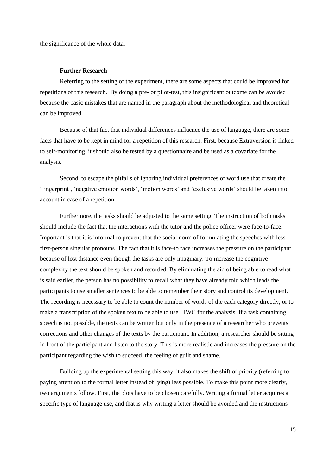the significance of the whole data.

## **Further Research**

Referring to the setting of the experiment, there are some aspects that could be improved for repetitions of this research. By doing a pre- or pilot-test, this insignificant outcome can be avoided because the basic mistakes that are named in the paragraph about the methodological and theoretical can be improved.

Because of that fact that individual differences influence the use of language, there are some facts that have to be kept in mind for a repetition of this research. First, because Extraversion is linked to self-monitoring, it should also be tested by a questionnaire and be used as a covariate for the analysis.

Second, to escape the pitfalls of ignoring individual preferences of word use that create the 'fingerprint', 'negative emotion words', 'motion words' and 'exclusive words' should be taken into account in case of a repetition.

Furthermore, the tasks should be adjusted to the same setting. The instruction of both tasks should include the fact that the interactions with the tutor and the police officer were face-to-face. Important is that it is informal to prevent that the social norm of formulating the speeches with less first-person singular pronouns. The fact that it is face-to face increases the pressure on the participant because of lost distance even though the tasks are only imaginary. To increase the cognitive complexity the text should be spoken and recorded. By eliminating the aid of being able to read what is said earlier, the person has no possibility to recall what they have already told which leads the participants to use smaller sentences to be able to remember their story and control its development. The recording is necessary to be able to count the number of words of the each category directly, or to make a transcription of the spoken text to be able to use LIWC for the analysis. If a task containing speech is not possible, the texts can be written but only in the presence of a researcher who prevents corrections and other changes of the texts by the participant. In addition, a researcher should be sitting in front of the participant and listen to the story. This is more realistic and increases the pressure on the participant regarding the wish to succeed, the feeling of guilt and shame.

Building up the experimental setting this way, it also makes the shift of priority (referring to paying attention to the formal letter instead of lying) less possible. To make this point more clearly, two arguments follow. First, the plots have to be chosen carefully. Writing a formal letter acquires a specific type of language use, and that is why writing a letter should be avoided and the instructions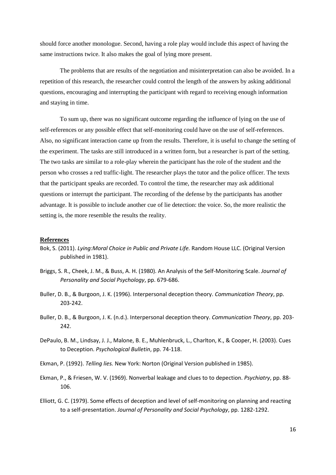should force another monologue. Second, having a role play would include this aspect of having the same instructions twice. It also makes the goal of lying more present.

The problems that are results of the negotiation and misinterpretation can also be avoided. In a repetition of this research, the researcher could control the length of the answers by asking additional questions, encouraging and interrupting the participant with regard to receiving enough information and staying in time.

To sum up, there was no significant outcome regarding the influence of lying on the use of self-references or any possible effect that self-monitoring could have on the use of self-references. Also, no significant interaction came up from the results. Therefore, it is useful to change the setting of the experiment. The tasks are still introduced in a written form, but a researcher is part of the setting. The two tasks are similar to a role-play wherein the participant has the role of the student and the person who crosses a red traffic-light. The researcher plays the tutor and the police officer. The texts that the participant speaks are recorded. To control the time, the researcher may ask additional questions or interrupt the participant. The recording of the defense by the participants has another advantage. It is possible to include another cue of lie detection: the voice. So, the more realistic the setting is, the more resemble the results the reality.

#### **References**

- Bok, S. (2011). *Lying:Moral Choice in Public and Private Life.* Random House LLC. (Original Version published in 1981).
- Briggs, S. R., Cheek, J. M., & Buss, A. H. (1980). An Analysis of the Self-Monitoring Scale. *Journal of Personality and Social Psychology*, pp. 679-686.
- Buller, D. B., & Burgoon, J. K. (1996). Interpersonal deception theory. *Communication Theory*, pp. 203-242.
- Buller, D. B., & Burgoon, J. K. (n.d.). Interpersonal deception theory. *Communication Theory*, pp. 203- 242.
- DePaulo, B. M., Lindsay, J. J., Malone, B. E., Muhlenbruck, L., Charlton, K., & Cooper, H. (2003). Cues to Deception. *Psychological Bulletin*, pp. 74-118.
- Ekman, P. (1992). *Telling lies.* New York: Norton (Original Version published in 1985).
- Ekman, P., & Friesen, W. V. (1969). Nonverbal leakage and clues to to depection. *Psychiatry*, pp. 88- 106.
- Elliott, G. C. (1979). Some effects of deception and level of self-monitoring on planning and reacting to a self-presentation. *Journal of Personality and Social Psychology*, pp. 1282-1292.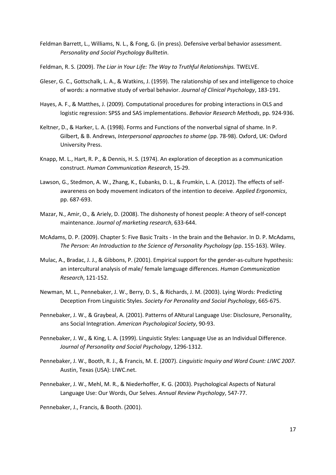- Feldman Barrett, L., Williams, N. L., & Fong, G. (in press). Defensive verbal behavior assessment. *Personality and Social Psychology Bulltetin*.
- Feldman, R. S. (2009). *The Liar in Your Life: The Way to Truthful Relationships.* TWELVE.
- Gleser, G. C., Gottschalk, L. A., & Watkins, J. (1959). The ralationship of sex and intelligence to choice of words: a normative study of verbal behavior. *Journal of Clinical Psychology*, 183-191.
- Hayes, A. F., & Matthes, J. (2009). Computational procedures for probing interactions in OLS and logistic regression: SPSS and SAS implementations. *Behavior Research Methods*, pp. 924-936.
- Keltner, D., & Harker, L. A. (1998). Forms and Functions of the nonverbal signal of shame. In P. Gilbert, & B. Andrews, *Interpersonal approaches to shame* (pp. 78-98). Oxford, UK: Oxford University Press.
- Knapp, M. L., Hart, R. P., & Dennis, H. S. (1974). An exploration of deception as a communication construct. *Human Communication Research*, 15-29.
- Lawson, G., Stedmon, A. W., Zhang, K., Eubanks, D. L., & Frumkin, L. A. (2012). The effects of selfawareness on body movement indicators of the intention to deceive. *Applied Ergonomics*, pp. 687-693.
- Mazar, N., Amir, O., & Ariely, D. (2008). The dishonesty of honest people: A theory of self-concept maintenance. *Journal of marketing research*, 633-644.
- McAdams, D. P. (2009). Chapter 5: Five Basic Traits In the brain and the Behavior. In D. P. McAdams, *The Person: An Introduction to the Science of Personality Psychology* (pp. 155-163). Wiley.
- Mulac, A., Bradac, J. J., & Gibbons, P. (2001). Empirical support for the gender-as-culture hypothesis: an intercultural analysis of male/ female lamguage differences. *Human Communication Research*, 121-152.
- Newman, M. L., Pennebaker, J. W., Berry, D. S., & Richards, J. M. (2003). Lying Words: Predicting Deception From Linguistic Styles. *Society For Peronality and Social Psychology*, 665-675.
- Pennebaker, J. W., & Graybeal, A. (2001). Patterns of ANtural Language Use: Disclosure, Personality, ans Social Integration. *American Psychological Society*, 90-93.
- Pennebaker, J. W., & King, L. A. (1999). Linguistic Styles: Language Use as an Individual Difference. *Journal of Personality and Social Psychology*, 1296-1312.
- Pennebaker, J. W., Booth, R. J., & Francis, M. E. (2007). *Linguistic Inquiry and Word Count: LIWC 2007.* Austin, Texas (USA): LIWC.net.
- Pennebaker, J. W., Mehl, M. R., & Niederhoffer, K. G. (2003). Psychological Aspects of Natural Language Use: Our Words, Our Selves. *Annual Review Psychology*, 547-77.

Pennebaker, J., Francis, & Booth. (2001).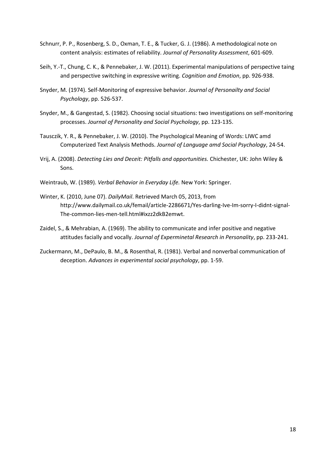- Schnurr, P. P., Rosenberg, S. D., Oxman, T. E., & Tucker, G. J. (1986). A methodological note on content analysis: estimates of reliability. *Journal of Personality Assessment*, 601-609.
- Seih, Y.-T., Chung, C. K., & Pennebaker, J. W. (2011). Experimental manipulations of perspective taing and perspective switching in expressive writing. *Cognition and Emotion*, pp. 926-938.
- Snyder, M. (1974). Self-Monitoring of expressive behavior. *Journal of Personailty and Social Psychology*, pp. 526-537.
- Snyder, M., & Gangestad, S. (1982). Choosing social situations: two investigations on self-monitoring processes. *Journal of Personality and Social Psychology*, pp. 123-135.
- Tausczik, Y. R., & Pennebaker, J. W. (2010). The Psychological Meaning of Words: LIWC amd Computerized Text Analysis Methods. *Journal of Language amd Social Psychology*, 24-54.
- Vrij, A. (2008). *Detecting Lies and Deceit: Pitfalls and opportunities.* Chichester, UK: John Wiley & Sons.
- Weintraub, W. (1989). *Verbal Behavior in Everyday Life.* New York: Springer.
- Winter, K. (2010, June 07). *DailyMail*. Retrieved March 05, 2013, from http://www.dailymail.co.uk/femail/article-2286671/Yes-darling-Ive-Im-sorry-I-didnt-signal-The-common-lies-men-tell.html#ixzz2dkB2emwt.
- Zaidel, S., & Mehrabian, A. (1969). The ability to communicate and infer positive and negative attitudes facially and vocally. *Journal of Experminetal Research in Personality*, pp. 233-241.
- Zuckermann, M., DePaulo, B. M., & Rosenthal, R. (1981). Verbal and nonverbal communication of deception. *Advances in experimental social psychology*, pp. 1-59.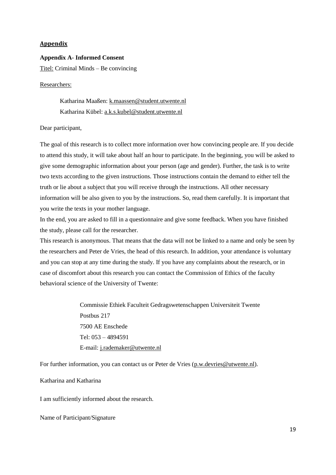## **Appendix**

## **Appendix A- Informed Consent**

Titel: Criminal Minds – Be convincing

## Researchers:

Katharina Maaßen: [k.maassen@student.utwente.nl](mailto:k.maassen@student.utwente.nl) Katharina Kübel: [a.k.s.kubel@student.utwente.nl](mailto:a.k.s.kubel@student.utwente.nl)

### Dear participant,

The goal of this research is to collect more information over how convincing people are. If you decide to attend this study, it will take about half an hour to participate. In the beginning, you will be asked to give some demographic information about your person (age and gender). Further, the task is to write two texts according to the given instructions. Those instructions contain the demand to either tell the truth or lie about a subject that you will receive through the instructions. All other necessary information will be also given to you by the instructions. So, read them carefully. It is important that you write the texts in your mother language.

In the end, you are asked to fill in a questionnaire and give some feedback. When you have finished the study, please call for the researcher.

This research is anonymous. That means that the data will not be linked to a name and only be seen by the researchers and Peter de Vries, the head of this research. In addition, your attendance is voluntary and you can stop at any time during the study. If you have any complaints about the research, or in case of discomfort about this research you can contact the Commission of Ethics of the faculty behavioral science of the University of Twente:

> Commissie Ethiek Faculteit Gedragswetenschappen Universiteit Twente Postbus 217 7500 AE Enschede Tel: 053 – 4894591 E-mail: [j.rademaker@utwente.nl](mailto:j.rademaker@utwente.nl)

For further information, you can contact us or Peter de Vries [\(p.w.devries@utwente.nl\)](mailto:p.w.devries@utwente.nl).

## Katharina and Katharina

I am sufficiently informed about the research.

Name of Participant/Signature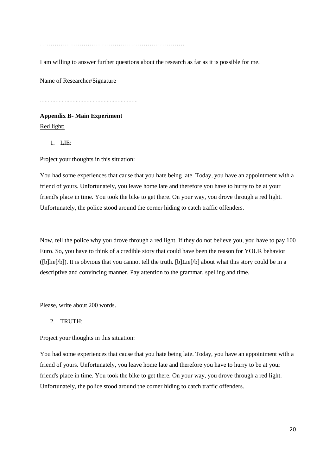…………………………………………………………….

I am willing to answer further questions about the research as far as it is possible for me.

Name of Researcher/Signature

...............................................................

**Appendix B- Main Experiment** Red light:

1. LIE:

Project your thoughts in this situation:

You had some experiences that cause that you hate being late. Today, you have an appointment with a friend of yours. Unfortunately, you leave home late and therefore you have to hurry to be at your friend's place in time. You took the bike to get there. On your way, you drove through a red light. Unfortunately, the police stood around the corner hiding to catch traffic offenders.

Now, tell the police why you drove through a red light. If they do not believe you, you have to pay 100 Euro. So, you have to think of a credible story that could have been the reason for YOUR behavior ([b]lie[/b]). It is obvious that you cannot tell the truth. [b]Lie[/b] about what this story could be in a descriptive and convincing manner. Pay attention to the grammar, spelling and time.

Please, write about 200 words.

### 2. TRUTH:

Project your thoughts in this situation:

You had some experiences that cause that you hate being late. Today, you have an appointment with a friend of yours. Unfortunately, you leave home late and therefore you have to hurry to be at your friend's place in time. You took the bike to get there. On your way, you drove through a red light. Unfortunately, the police stood around the corner hiding to catch traffic offenders.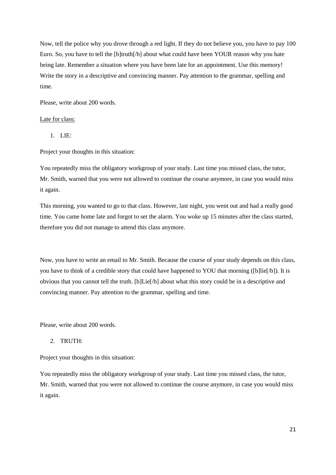Now, tell the police why you drove through a red light. If they do not believe you, you have to pay 100 Euro. So, you have to tell the [b]truth[/b] about what could have been YOUR reason why you hate being late. Remember a situation where you have been late for an appointment. Use this memory! Write the story in a descriptive and convincing manner. Pay attention to the grammar, spelling and time.

Please, write about 200 words.

### Late for class:

1. LIE:

Project your thoughts in this situation:

You repeatedly miss the obligatory workgroup of your study. Last time you missed class, the tutor, Mr. Smith, warned that you were not allowed to continue the course anymore, in case you would miss it again.

This morning, you wanted to go to that class. However, last night, you went out and had a really good time. You came home late and forgot to set the alarm. You woke up 15 minutes after the class started, therefore you did not manage to attend this class anymore.

Now, you have to write an email to Mr. Smith. Because the course of your study depends on this class, you have to think of a credible story that could have happened to YOU that morning ([b]lie[/b]). It is obvious that you cannot tell the truth. [b]Lie[/b] about what this story could be in a descriptive and convincing manner. Pay attention to the grammar, spelling and time.

Please, write about 200 words.

# 2. TRUTH:

Project your thoughts in this situation:

You repeatedly miss the obligatory workgroup of your study. Last time you missed class, the tutor, Mr. Smith, warned that you were not allowed to continue the course anymore, in case you would miss it again.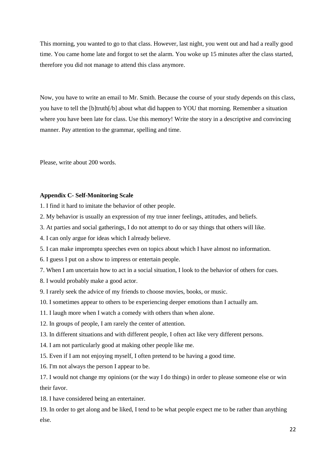This morning, you wanted to go to that class. However, last night, you went out and had a really good time. You came home late and forgot to set the alarm. You woke up 15 minutes after the class started, therefore you did not manage to attend this class anymore.

Now, you have to write an email to Mr. Smith. Because the course of your study depends on this class, you have to tell the [b]truth[/b] about what did happen to YOU that morning. Remember a situation where you have been late for class. Use this memory! Write the story in a descriptive and convincing manner. Pay attention to the grammar, spelling and time.

Please, write about 200 words.

## **Appendix C- Self-Monitoring Scale**

1. I find it hard to imitate the behavior of other people.

- 2. My behavior is usually an expression of my true inner feelings, attitudes, and beliefs.
- 3. At parties and social gatherings, I do not attempt to do or say things that others will like.
- 4. I can only argue for ideas which I already believe.
- 5. I can make impromptu speeches even on topics about which I have almost no information.
- 6. I guess I put on a show to impress or entertain people.
- 7. When I am uncertain how to act in a social situation, I look to the behavior of others for cues.
- 8. I would probably make a good actor.
- 9. I rarely seek the advice of my friends to choose movies, books, or music.
- 10. I sometimes appear to others to be experiencing deeper emotions than I actually am.
- 11. I laugh more when I watch a comedy with others than when alone.
- 12. In groups of people, I am rarely the center of attention.
- 13. In different situations and with different people, I often act like very different persons.
- 14. I am not particularly good at making other people like me.
- 15. Even if I am not enjoying myself, I often pretend to be having a good time.
- 16. I'm not always the person I appear to be.

17. I would not change my opinions (or the way I do things) in order to please someone else or win their favor.

18. I have considered being an entertainer.

19. In order to get along and be liked, I tend to be what people expect me to be rather than anything else.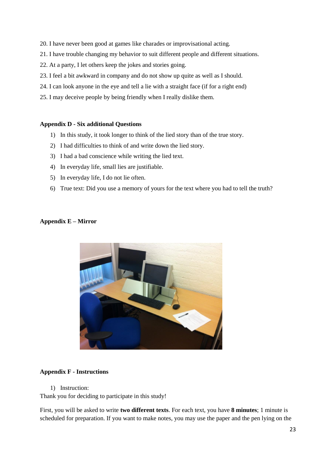- 20. I have never been good at games like charades or improvisational acting.
- 21. I have trouble changing my behavior to suit different people and different situations.
- 22. At a party, I let others keep the jokes and stories going.
- 23. I feel a bit awkward in company and do not show up quite as well as I should.
- 24. I can look anyone in the eye and tell a lie with a straight face (if for a right end)
- 25. I may deceive people by being friendly when I really dislike them.

## **Appendix D - Six additional Questions**

- 1) In this study, it took longer to think of the lied story than of the true story.
- 2) I had difficulties to think of and write down the lied story.
- 3) I had a bad conscience while writing the lied text.
- 4) In everyday life, small lies are justifiable.
- 5) In everyday life, I do not lie often.
- 6) True text: Did you use a memory of yours for the text where you had to tell the truth?

# **Appendix E – Mirror**



# **Appendix F - Instructions**

1) Instruction:

Thank you for deciding to participate in this study!

First, you will be asked to write **two different texts**. For each text, you have **8 minutes**; 1 minute is scheduled for preparation. If you want to make notes, you may use the paper and the pen lying on the